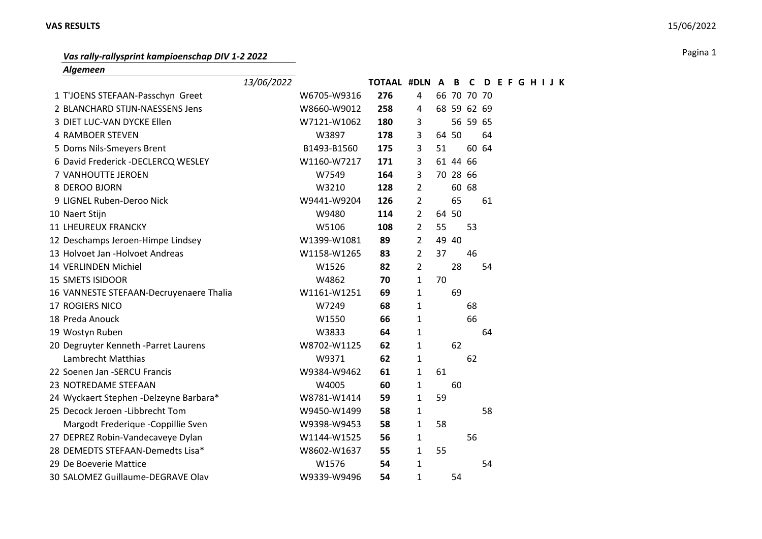## **VAS RESULTS** 15/06/2022

## Pagina 1 *Vas rally-rallysprint kampioenschap DIV 1-2 2022*

*Algemeen*

|                                         | 13/06/2022 |             | TOTAAL #DLN A B C |                |       |          |             |       | <b>DEFGHIJK</b> |  |  |  |
|-----------------------------------------|------------|-------------|-------------------|----------------|-------|----------|-------------|-------|-----------------|--|--|--|
| 1 T'JOENS STEFAAN-Passchyn Greet        |            | W6705-W9316 | 276               | 4              |       |          | 66 70 70 70 |       |                 |  |  |  |
| 2 BLANCHARD STIJN-NAESSENS Jens         |            | W8660-W9012 | 258               | 4              |       |          | 68 59 62 69 |       |                 |  |  |  |
| 3 DIET LUC-VAN DYCKE Ellen              |            | W7121-W1062 | 180               | 3              |       |          | 56 59 65    |       |                 |  |  |  |
| <b>4 RAMBOER STEVEN</b>                 |            | W3897       | 178               | 3              | 64 50 |          |             | 64    |                 |  |  |  |
| 5 Doms Nils-Smeyers Brent               |            | B1493-B1560 | 175               | 3              | 51    |          |             | 60 64 |                 |  |  |  |
| 6 David Frederick -DECLERCQ WESLEY      |            | W1160-W7217 | 171               | 3              |       | 61 44 66 |             |       |                 |  |  |  |
| 7 VANHOUTTE JEROEN                      |            | W7549       | 164               | 3              |       | 70 28 66 |             |       |                 |  |  |  |
| 8 DEROO BJORN                           |            | W3210       | 128               | $\overline{2}$ |       |          | 60 68       |       |                 |  |  |  |
| 9 LIGNEL Ruben-Deroo Nick               |            | W9441-W9204 | 126               | $\overline{2}$ |       | 65       |             | 61    |                 |  |  |  |
| 10 Naert Stijn                          |            | W9480       | 114               | $\overline{2}$ | 64 50 |          |             |       |                 |  |  |  |
| <b>11 LHEUREUX FRANCKY</b>              |            | W5106       | 108               | 2              | 55    |          | 53          |       |                 |  |  |  |
| 12 Deschamps Jeroen-Himpe Lindsey       |            | W1399-W1081 | 89                | $\overline{2}$ |       | 49 40    |             |       |                 |  |  |  |
| 13 Holvoet Jan -Holvoet Andreas         |            | W1158-W1265 | 83                | $\overline{2}$ | 37    |          | 46          |       |                 |  |  |  |
| 14 VERLINDEN Michiel                    |            | W1526       | 82                | $\overline{2}$ |       | 28       |             | 54    |                 |  |  |  |
| <b>15 SMETS ISIDOOR</b>                 |            | W4862       | 70                | $\mathbf{1}$   | 70    |          |             |       |                 |  |  |  |
| 16 VANNESTE STEFAAN-Decruyenaere Thalia |            | W1161-W1251 | 69                | $\mathbf 1$    |       | 69       |             |       |                 |  |  |  |
| <b>17 ROGIERS NICO</b>                  |            | W7249       | 68                | $\mathbf{1}$   |       |          | 68          |       |                 |  |  |  |
| 18 Preda Anouck                         |            | W1550       | 66                | $\mathbf{1}$   |       |          | 66          |       |                 |  |  |  |
| 19 Wostyn Ruben                         |            | W3833       | 64                | 1              |       |          |             | 64    |                 |  |  |  |
| 20 Degruyter Kenneth -Parret Laurens    |            | W8702-W1125 | 62                | $\mathbf 1$    |       | 62       |             |       |                 |  |  |  |
| Lambrecht Matthias                      |            | W9371       | 62                | 1              |       |          | 62          |       |                 |  |  |  |
| 22 Soenen Jan - SERCU Francis           |            | W9384-W9462 | 61                | 1              | 61    |          |             |       |                 |  |  |  |
| 23 NOTREDAME STEFAAN                    |            | W4005       | 60                | $\mathbf{1}$   |       | 60       |             |       |                 |  |  |  |
| 24 Wyckaert Stephen -Delzeyne Barbara*  |            | W8781-W1414 | 59                | $\mathbf{1}$   | 59    |          |             |       |                 |  |  |  |
| 25 Decock Jeroen - Libbrecht Tom        |            | W9450-W1499 | 58                | $\mathbf{1}$   |       |          |             | 58    |                 |  |  |  |
| Margodt Frederique - Coppillie Sven     |            | W9398-W9453 | 58                | 1              | 58    |          |             |       |                 |  |  |  |
| 27 DEPREZ Robin-Vandecaveye Dylan       |            | W1144-W1525 | 56                | 1              |       |          | 56          |       |                 |  |  |  |
| 28 DEMEDTS STEFAAN-Demedts Lisa*        |            | W8602-W1637 | 55                | $\mathbf{1}$   | 55    |          |             |       |                 |  |  |  |
| 29 De Boeverie Mattice                  |            | W1576       | 54                | 1              |       |          |             | 54    |                 |  |  |  |
| 30 SALOMEZ Guillaume-DEGRAVE Olav       |            | W9339-W9496 | 54                | 1              |       | 54       |             |       |                 |  |  |  |